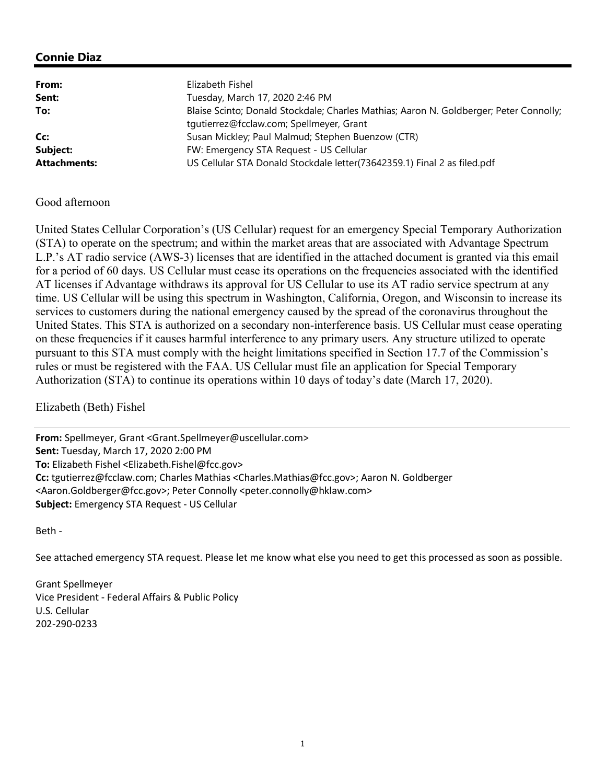# Connie Diaz

| From:               | Elizabeth Fishel                                                                                                                   |
|---------------------|------------------------------------------------------------------------------------------------------------------------------------|
| Sent:               | Tuesday, March 17, 2020 2:46 PM                                                                                                    |
| To:                 | Blaise Scinto; Donald Stockdale; Charles Mathias; Aaron N. Goldberger; Peter Connolly;<br>tqutierrez@fcclaw.com; Spellmeyer, Grant |
| Cc:                 | Susan Mickley; Paul Malmud; Stephen Buenzow (CTR)                                                                                  |
| Subject:            | FW: Emergency STA Request - US Cellular                                                                                            |
| <b>Attachments:</b> | US Cellular STA Donald Stockdale letter(73642359.1) Final 2 as filed.pdf                                                           |

#### Good afternoon

United States Cellular Corporation's (US Cellular) request for an emergency Special Temporary Authorization (STA) to operate on the spectrum; and within the market areas that are associated with Advantage Spectrum L.P.'s AT radio service (AWS-3) licenses that are identified in the attached document is granted via this email for a period of 60 days. US Cellular must cease its operations on the frequencies associated with the identified AT licenses if Advantage withdraws its approval for US Cellular to use its AT radio service spectrum at any time. US Cellular will be using this spectrum in Washington, California, Oregon, and Wisconsin to increase its services to customers during the national emergency caused by the spread of the coronavirus throughout the United States. This STA is authorized on a secondary non-interference basis. US Cellular must cease operating on these frequencies if it causes harmful interference to any primary users. Any structure utilized to operate pursuant to this STA must comply with the height limitations specified in Section 17.7 of the Commission's rules or must be registered with the FAA. US Cellular must file an application for Special Temporary Authorization (STA) to continue its operations within 10 days of today's date (March 17, 2020).

Elizabeth (Beth) Fishel

From: Spellmeyer, Grant <Grant.Spellmeyer@uscellular.com> Sent: Tuesday, March 17, 2020 2:00 PM To: Elizabeth Fishel <Elizabeth.Fishel@fcc.gov> Cc: tgutierrez@fcclaw.com; Charles Mathias <Charles.Mathias@fcc.gov>; Aaron N. Goldberger <Aaron.Goldberger@fcc.gov>; Peter Connolly <peter.connolly@hklaw.com> Subject: Emergency STA Request - US Cellular

Beth -

See attached emergency STA request. Please let me know what else you need to get this processed as soon as possible.

Grant Spellmeyer Vice President - Federal Affairs & Public Policy U.S. Cellular 202-290-0233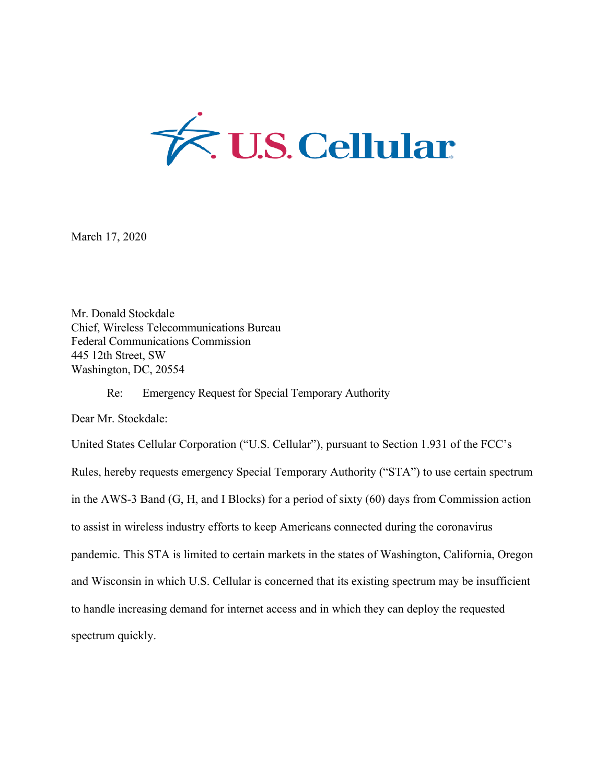

March 17, 2020

Mr. Donald Stockdale Chief, Wireless Telecommunications Bureau Federal Communications Commission 445 12th Street, SW Washington, DC, 20554

Re: Emergency Request for Special Temporary Authority

Dear Mr. Stockdale:

United States Cellular Corporation ("U.S. Cellular"), pursuant to Section 1.931 of the FCC's Rules, hereby requests emergency Special Temporary Authority ("STA") to use certain spectrum in the AWS-3 Band (G, H, and I Blocks) for a period of sixty (60) days from Commission action to assist in wireless industry efforts to keep Americans connected during the coronavirus pandemic. This STA is limited to certain markets in the states of Washington, California, Oregon and Wisconsin in which U.S. Cellular is concerned that its existing spectrum may be insufficient to handle increasing demand for internet access and in which they can deploy the requested spectrum quickly.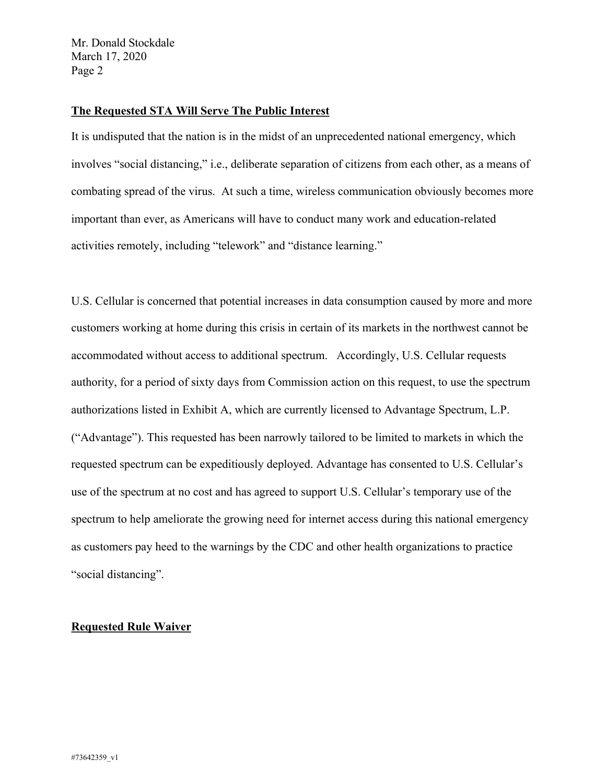Mr. Donald Stockdale March 17, 2020 Page 2

## **The Requested STA Will Serve The Public Interest**

It is undisputed that the nation is in the midst of an unprecedented national emergency, which involves "social distancing," i.e., deliberate separation of citizens from each other, as a means of combating spread of the virus. At such a time, wireless communication obviously becomes more important than ever, as Americans will have to conduct many work and education-related activities remotely, including "telework" and "distance learning."

U.S. Cellular is concerned that potential increases in data consumption caused by more and more customers working at home during this crisis in certain of its markets in the northwest cannot be accommodated without access to additional spectrum. Accordingly, U.S. Cellular requests authority, for a period of sixty days from Commission action on this request, to use the spectrum authorizations listed in Exhibit A, which are currently licensed to Advantage Spectrum, L.P. ("Advantage"). This requested has been narrowly tailored to be limited to markets in which the requested spectrum can be expeditiously deployed. Advantage has consented to U.S. Cellular's use of the spectrum at no cost and has agreed to support U.S. Cellular's temporary use of the spectrum to help ameliorate the growing need for internet access during this national emergency as customers pay heed to the warnings by the CDC and other health organizations to practice "social distancing".

### **Requested Rule Waiver**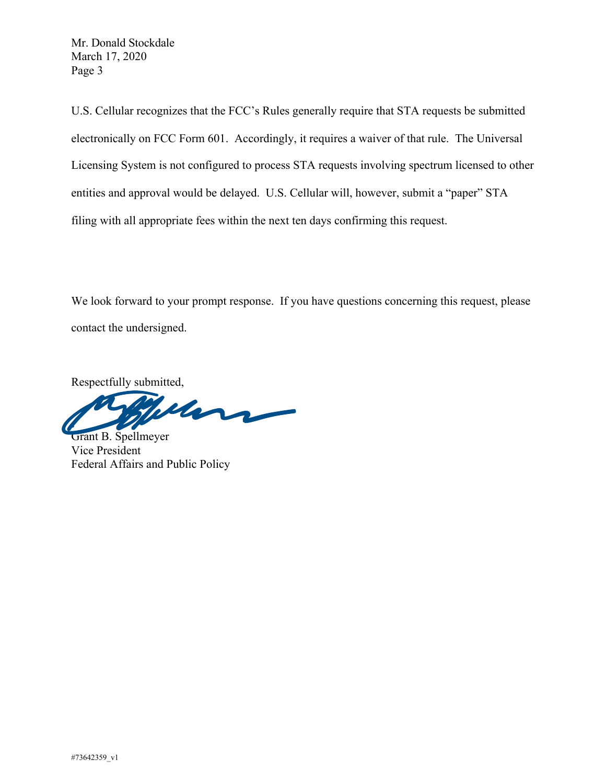Mr. Donald Stockdale March 17, 2020 Page 3

U.S. Cellular recognizes that the FCC's Rules generally require that STA requests be submitted electronically on FCC Form 601. Accordingly, it requires a waiver of that rule. The Universal Licensing System is not configured to process STA requests involving spectrum licensed to other entities and approval would be delayed. U.S. Cellular will, however, submit a "paper" STA filing with all appropriate fees within the next ten days confirming this request.

We look forward to your prompt response. If you have questions concerning this request, please contact the undersigned.

Respectfully submitted,

Mars

Grant B. Spellmeyer Vice President Federal Affairs and Public Policy